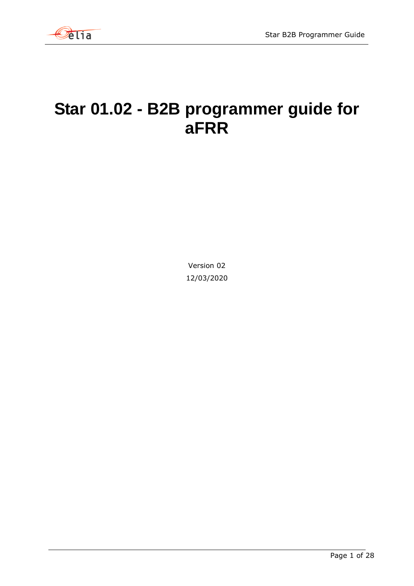

# **Star 01.02 - B2B programmer guide for aFRR**

Version 02 12/03/2020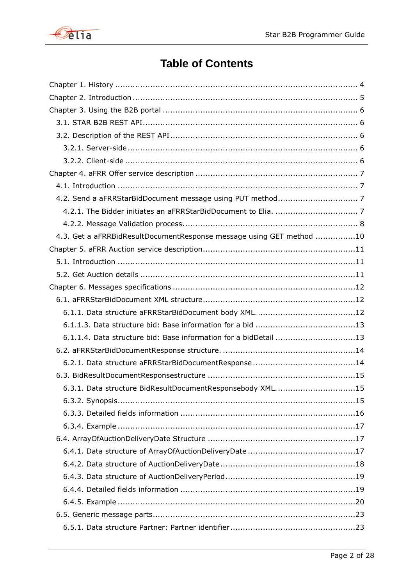

# **Table of Contents**

| 4.3. Get a aFRRBidResultDocumentResponse message using GET method 10 |
|----------------------------------------------------------------------|
|                                                                      |
|                                                                      |
|                                                                      |
|                                                                      |
|                                                                      |
|                                                                      |
|                                                                      |
| 6.1.1.4. Data structure bid: Base information for a bidDetail 13     |
|                                                                      |
|                                                                      |
|                                                                      |
| 6.3.1. Data structure BidResultDocumentResponsebody XML15            |
|                                                                      |
|                                                                      |
|                                                                      |
|                                                                      |
|                                                                      |
|                                                                      |
|                                                                      |
|                                                                      |
|                                                                      |
|                                                                      |
|                                                                      |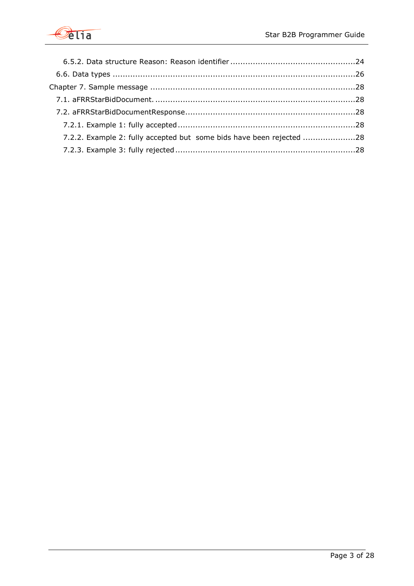

| 7.2.2. Example 2: fully accepted but some bids have been rejected 28 |  |
|----------------------------------------------------------------------|--|
|                                                                      |  |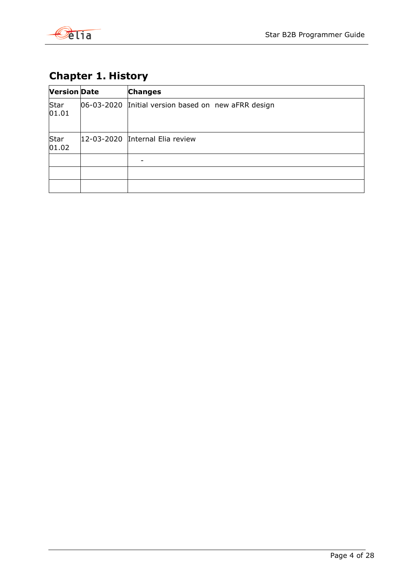

# <span id="page-3-0"></span>**Chapter 1. History**

| <b>Version Date</b> |            | <b>Changes</b>                           |
|---------------------|------------|------------------------------------------|
| Star<br> 01.01      | 06-03-2020 | Initial version based on new aFRR design |
| Star<br>01.02       |            | 12-03-2020 Internal Elia review          |
|                     |            |                                          |
|                     |            |                                          |
|                     |            |                                          |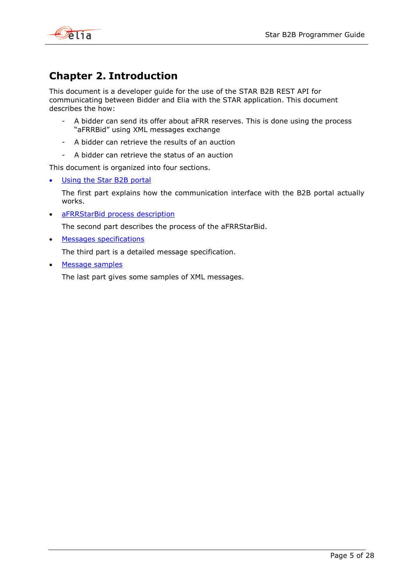

# <span id="page-4-0"></span>**Chapter 2. Introduction**

This document is a developer guide for the use of the STAR B2B REST API for communicating between Bidder and Elia with the STAR application. This document describes the how:

- A bidder can send its offer about aFRR reserves. This is done using the process "aFRRBid" using XML messages exchange
- A bidder can retrieve the results of an auction
- A bidder can retrieve the status of an auction

This document is organized into four sections.

[Using the Star](#page-5-0) B2B portal

The first part explains how the communication interface with the B2B portal actually works.

• [aFRRStarBid process](#page-6-0) description

The second part describes the process of the aFRRStarBid.

**[Messages specifications](#page-10-0)** 

The third part is a detailed message specification.

[Message samples](#page-27-0)

The last part gives some samples of XML messages.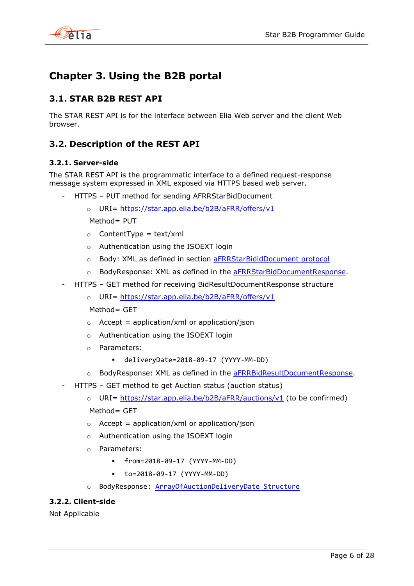

# <span id="page-5-0"></span>**Chapter 3. Using the B2B portal**

# <span id="page-5-1"></span>**3.1. STAR B2B REST API**

The STAR REST API is for the interface between Elia Web server and the client Web browser.

# <span id="page-5-2"></span>**3.2. Description of the REST API**

# <span id="page-5-3"></span>**3.2.1. Server-side**

The STAR REST API is the programmatic interface to a defined request-response message system expressed in XML exposed via HTTPS based web server.

- HTTPS PUT method for sending AFRRStarBidDocument
	- o URI= [https://star.app.elia.be/b2B/aFRR/offers/v1](https://star.app.elia.be/b2B/mFRR/offers/v1)

 $Method =$  PUT

- $\circ$  ContentType = text/xml
- o Authentication using the ISOEXT login
- o Body: XML as defined in section [aFRRStarBididDocument protocol](#page-5-0)
- o BodyResponse: XML as defined in the [aFRRStarBidDocumentResponse.](#page-13-2)
- HTTPS GET method for receiving BidResultDocumentResponse structure
	- o URI= [https://star.app.elia.be/b2B/aFRR/offers/v1](https://star.app.elia.be/b2B/mFRR/offers/v1)

Method= GFT

- $\circ$  Accept = application/xml or application/json
- o Authentication using the ISOEXT login
- o Parameters:
	- deliveryDate=2018-09-17 (YYYY-MM-DD)
- o BodyResponse: XML as defined in the [aFRRBidResultDocumentResponse.](#page-13-2)
- <span id="page-5-5"></span>- HTTPS – GET method to get Auction status (auction status)
	- o URI= [https://star.app.elia.be/b2B/aFRR/auctions/v1](https://star.app.elia.be/b2B/mFRR/auctions/v1) (to be confirmed)  $Method = GFT$
	- $\circ$  Accept = application/xml or application/json
	- o Authentication using the ISOEXT login
	- o Parameters:
		- from=2018-09-17 (YYYY-MM-DD)
		- to=2018-09-17 (YYYY-MM-DD)
	- o BodyResponse: [ArrayOfAuctionDeliveryDate Structure](#page-16-1)

# <span id="page-5-4"></span>**3.2.2. Client-side**

Not Applicable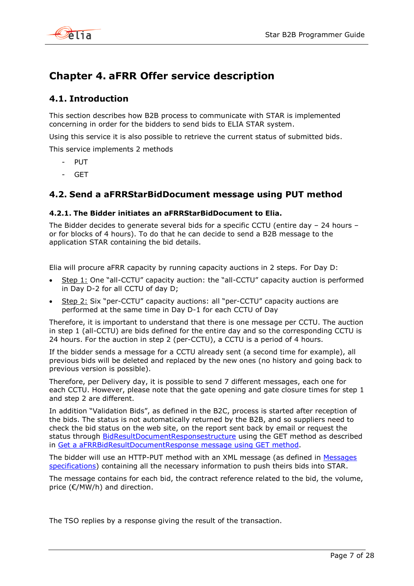

# <span id="page-6-0"></span>**Chapter 4. aFRR Offer service description**

# <span id="page-6-1"></span>**4.1. Introduction**

This section describes how B2B process to communicate with STAR is implemented concerning in order for the bidders to send bids to ELIA STAR system.

Using this service it is also possible to retrieve the current status of submitted bids.

This service implements 2 methods

- PUT
- GET

# <span id="page-6-2"></span>**4.2. Send a aFRRStarBidDocument message using PUT method**

# <span id="page-6-3"></span>**4.2.1. The Bidder initiates an aFRRStarBidDocument to Elia.**

The Bidder decides to generate several bids for a specific CCTU (entire day – 24 hours – or for blocks of 4 hours). To do that he can decide to send a B2B message to the application STAR containing the bid details.

Elia will procure aFRR capacity by running capacity auctions in 2 steps. For Day D:

- Step 1: One "all-CCTU" capacity auction: the "all-CCTU" capacity auction is performed in Day D-2 for all CCTU of day D;
- Step 2: Six "per-CCTU" capacity auctions: all "per-CCTU" capacity auctions are performed at the same time in Day D-1 for each CCTU of Day

Therefore, it is important to understand that there is one message per CCTU. The auction in step 1 (all-CCTU) are bids defined for the entire day and so the corresponding CCTU is 24 hours. For the auction in step 2 (per-CCTU), a CCTU is a period of 4 hours.

If the bidder sends a message for a CCTU already sent (a second time for example), all previous bids will be deleted and replaced by the new ones (no history and going back to previous version is possible).

Therefore, per Delivery day, it is possible to send 7 different messages, each one for each CCTU. However, please note that the gate opening and gate closure times for step 1 and step 2 are different.

In addition "Validation Bids", as defined in the B2C, process is started after reception of the bids. The status is not automatically returned by the B2B, and so suppliers need to check the bid status on the web site, on the report sent back by email or request the status through **BidResultDocumentResponsestructure** using the GET method as described in [Get a aFRRBidResultDocumentResponse message using GET method.](#page-8-0)

The bidder will use an HTTP-PUT method with an XML message (as defined in [Messages](#page-10-0)  [specifications\)](#page-10-0) containing all the necessary information to push theirs bids into STAR.

The message contains for each bid, the contract reference related to the bid, the volume, price (€/MW/h) and direction.

The TSO replies by a response giving the result of the transaction.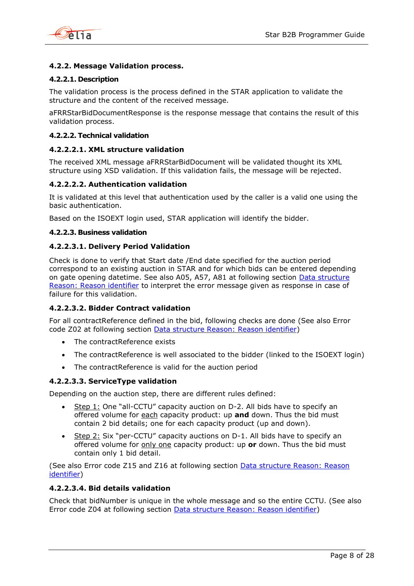

# <span id="page-7-0"></span>**4.2.2. Message Validation process.**

### **4.2.2.1. Description**

The validation process is the process defined in the STAR application to validate the structure and the content of the received message.

aFRRStarBidDocumentResponse is the response message that contains the result of this validation process.

#### **4.2.2.2. Technical validation**

#### **4.2.2.2.1. XML structure validation**

The received XML message aFRRStarBidDocument will be validated thought its XML structure using XSD validation. If this validation fails, the message will be rejected.

#### **4.2.2.2.2. Authentication validation**

It is validated at this level that authentication used by the caller is a valid one using the basic authentication.

Based on the ISOEXT login used, STAR application will identify the bidder.

#### **4.2.2.3. Business validation**

#### **4.2.2.3.1. Delivery Period Validation**

Check is done to verify that Start date /End date specified for the auction period correspond to an existing auction in STAR and for which bids can be entered depending on gate opening datetime. See also A05, A57, A81 at following section [Data structure](#page-23-0)  [Reason: Reason identifier](#page-23-0) to interpret the error message given as response in case of failure for this validation.

# **4.2.2.3.2. Bidder Contract validation**

For all contractReference defined in the bid, following checks are done (See also Error code Z02 at following section [Data structure Reason: Reason identifier\)](#page-23-0)

- The contractReference exists
- The contractReference is well associated to the bidder (linked to the ISOEXT login)
- The contractReference is valid for the auction period

#### **4.2.2.3.3. ServiceType validation**

Depending on the auction step, there are different rules defined:

- $\bullet$  Step 1: One "all-CCTU" capacity auction on D-2. All bids have to specify an offered volume for each capacity product: up **and** down. Thus the bid must contain 2 bid details; one for each capacity product (up and down).
- **Step 2:** Six "per-CCTU" capacity auctions on  $D-1$ . All bids have to specify an offered volume for only one capacity product: up or down. Thus the bid must contain only 1 bid detail.

(See also Error code Z15 and Z16 at following section [Data structure Reason: Reason](#page-23-0)  [identifier\)](#page-23-0)

#### **4.2.2.3.4. Bid details validation**

Check that bidNumber is unique in the whole message and so the entire CCTU. (See also Error code Z04 at following section [Data structure Reason: Reason identifier\)](#page-23-0)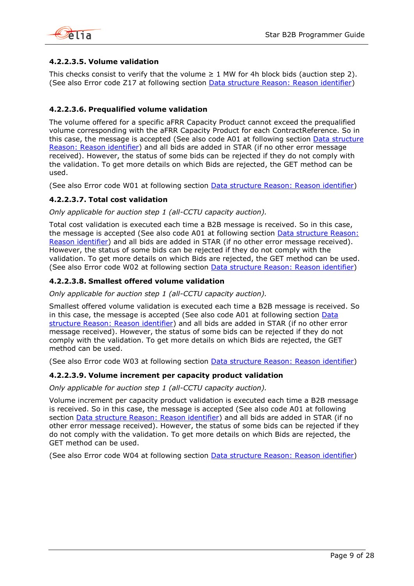

# **4.2.2.3.5. Volume validation**

This checks consist to verify that the volume  $\geq 1$  MW for 4h block bids (auction step 2). (See also Error code Z17 at following section [Data structure Reason: Reason identifier\)](#page-23-0)

# **4.2.2.3.6. Prequalified volume validation**

The volume offered for a specific aFRR Capacity Product cannot exceed the prequalified volume corresponding with the aFRR Capacity Product for each ContractReference. So in this case, the message is accepted (See also code A01 at following section [Data structure](#page-23-0)  [Reason: Reason identifier\)](#page-23-0) and all bids are added in STAR (if no other error message received). However, the status of some bids can be rejected if they do not comply with the validation. To get more details on which Bids are rejected, the GET method can be used.

(See also Error code W01 at following section [Data structure Reason: Reason identifier\)](#page-23-0)

# **4.2.2.3.7. Total cost validation**

*Only applicable for auction step 1 (all-CCTU capacity auction).*

Total cost validation is executed each time a B2B message is received. So in this case, the message is accepted (See also code A01 at following section [Data structure Reason:](#page-23-0)  [Reason identifier\)](#page-23-0) and all bids are added in STAR (if no other error message received). However, the status of some bids can be rejected if they do not comply with the validation. To get more details on which Bids are rejected, the GET method can be used. (See also Error code W02 at following section **Data structure Reason: Reason identifier**)

# **4.2.2.3.8. Smallest offered volume validation**

*Only applicable for auction step 1 (all-CCTU capacity auction).*

Smallest offered volume validation is executed each time a B2B message is received. So in this case, the message is accepted (See also code A01 at following section Data [structure Reason: Reason identifier\)](#page-23-0) and all bids are added in STAR (if no other error message received). However, the status of some bids can be rejected if they do not comply with the validation. To get more details on which Bids are rejected, the GET method can be used.

(See also Error code W03 at following section [Data structure Reason: Reason identifier\)](#page-23-0)

### **4.2.2.3.9. Volume increment per capacity product validation**

*Only applicable for auction step 1 (all-CCTU capacity auction).*

Volume increment per capacity product validation is executed each time a B2B message is received. So in this case, the message is accepted (See also code A01 at following section [Data structure Reason: Reason identifier\)](#page-23-0) and all bids are added in STAR (if no other error message received). However, the status of some bids can be rejected if they do not comply with the validation. To get more details on which Bids are rejected, the GET method can be used.

<span id="page-8-0"></span>(See also Error code W04 at following section [Data structure Reason: Reason identifier\)](#page-23-0)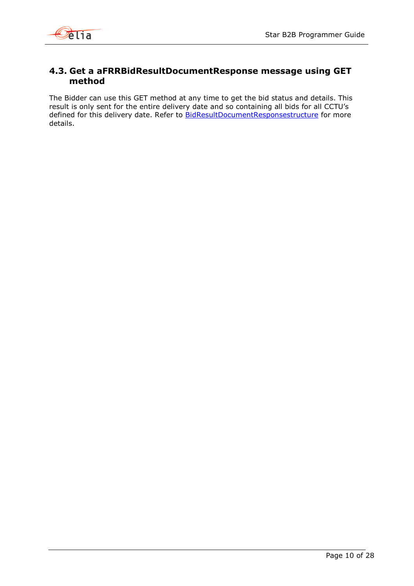

# <span id="page-9-0"></span>**4.3. Get a aFRRBidResultDocumentResponse message using GET method**

The Bidder can use this GET method at any time to get the bid status and details. This result is only sent for the entire delivery date and so containing all bids for all CCTU's defined for this delivery date. Refer to **BidResultDocumentResponsestructure** for more details.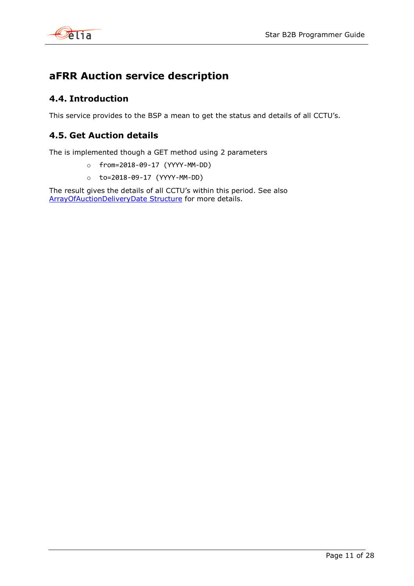

# <span id="page-10-0"></span>**aFRR Auction service description**

# <span id="page-10-1"></span>**4.4. Introduction**

This service provides to the BSP a mean to get the status and details of all CCTU's.

# <span id="page-10-2"></span>**4.5. Get Auction details**

The is implemented though a GET method using 2 parameters

- o from=2018-09-17 (YYYY-MM-DD)
- o to=2018-09-17 (YYYY-MM-DD)

The result gives the details of all CCTU's within this period. See also [ArrayOfAuctionDeliveryDate Structure](#page-16-1) for more details.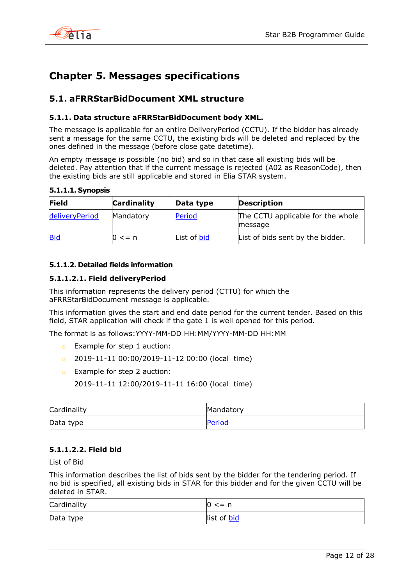

# <span id="page-11-0"></span>**Chapter 5. Messages specifications**

# <span id="page-11-1"></span>**5.1. aFRRStarBidDocument XML structure**

# <span id="page-11-2"></span>**5.1.1. Data structure aFRRStarBidDocument body XML.**

The message is applicable for an entire DeliveryPeriod (CCTU). If the bidder has already sent a message for the same CCTU, the existing bids will be deleted and replaced by the ones defined in the message (before close gate datetime).

An empty message is possible (no bid) and so in that case all existing bids will be deleted. Pay attention that if the current message is rejected (A02 as ReasonCode), then the existing bids are still applicable and stored in Elia STAR system.

**5.1.1.1. Synopsis**

| Field          | <b>Cardinality</b> | Data type   | <b>Description</b>                           |
|----------------|--------------------|-------------|----------------------------------------------|
| deliveryPeriod | Mandatory          | Period      | The CCTU applicable for the whole<br>message |
| <b>Bid</b>     | $0 \leq n$         | List of bid | List of bids sent by the bidder.             |

# **5.1.1.2. Detailed fields information**

# <span id="page-11-3"></span>**5.1.1.2.1. Field deliveryPeriod**

This information represents the delivery period (CTTU) for which the aFRRStarBidDocument message is applicable.

This information gives the start and end date period for the current tender. Based on this field, STAR application will check if the gate 1 is well opened for this period.

The format is as follows:YYYY-MM-DD HH:MM/YYYY-MM-DD HH:MM

- o Example for step 1 auction:
- o 2019-11-11 00:00/2019-11-12 00:00 (local time)
- o Example for step 2 auction:

2019-11-11 12:00/2019-11-11 16:00 (local time)

| Cardinality | Mandatory |
|-------------|-----------|
| Data type   | Period    |

# **5.1.1.2.2. Field bid**

List of Bid

This information describes the list of bids sent by the bidder for the tendering period. If no bid is specified, all existing bids in STAR for this bidder and for the given CCTU will be deleted in STAR.

| Cardinality | $0 \leq n$         |
|-------------|--------------------|
| Data type   | list of <b>bid</b> |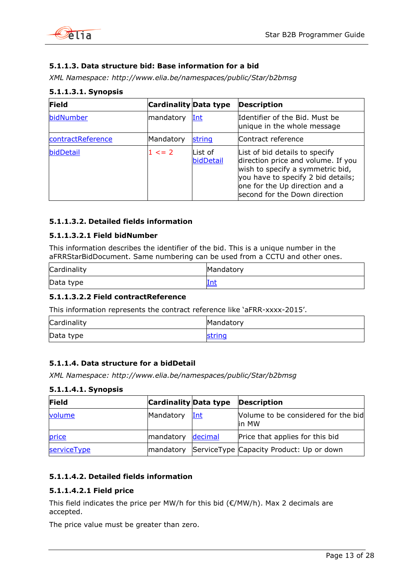

# <span id="page-12-0"></span>**5.1.1.3. Data structure bid: Base information for a bid**

*XML Namespace: http://www.elia.be/namespaces/public/Star/b2bmsg*

| <b>Field</b>      | <b>Cardinality Data type</b> |                       | <b>Description</b>                                                                                                                                                                                                |
|-------------------|------------------------------|-----------------------|-------------------------------------------------------------------------------------------------------------------------------------------------------------------------------------------------------------------|
| bidNumber         | mandatory                    | Int                   | Identifier of the Bid. Must be<br>unique in the whole message                                                                                                                                                     |
| contractReference | Mandatory                    | string                | Contract reference                                                                                                                                                                                                |
| bidDetail         | $1 \leq z \leq 2$            | lList of<br>bidDetail | List of bid details to specify<br>direction price and volume. If you<br>wish to specify a symmetric bid,<br>you have to specify 2 bid details;<br>one for the Up direction and a<br>second for the Down direction |

# **5.1.1.3.1. Synopsis**

# **5.1.1.3.2. Detailed fields information**

# <span id="page-12-2"></span>**5.1.1.3.2.1 Field bidNumber**

This information describes the identifier of the bid. This is a unique number in the aFRRStarBidDocument. Same numbering can be used from a CCTU and other ones.

| Cardinality | Mandatory |
|-------------|-----------|
| Data type   | Int       |

# **5.1.1.3.2.2 Field contractReference**

This information represents the contract reference like 'aFRR-xxxx-2015'.

| Cardinality | Mandatory |
|-------------|-----------|
| Data type   | string    |

# <span id="page-12-1"></span>**5.1.1.4. Data structure for a bidDetail**

*XML Namespace: http://www.elia.be/namespaces/public/Star/b2bmsg*

### **5.1.1.4.1. Synopsis**

| <b>Field</b> | <b>Cardinality Data type</b> |         | <b>Description</b>                            |
|--------------|------------------------------|---------|-----------------------------------------------|
| volume       | Mandatory                    | Int     | Volume to be considered for the bid<br>lin MW |
| price        | mandatory                    | decimal | Price that applies for this bid               |
| serviceType  | mandatory                    |         | ServiceType Capacity Product: Up or down      |

# **5.1.1.4.2. Detailed fields information**

# <span id="page-12-3"></span>**5.1.1.4.2.1 Field price**

This field indicates the price per MW/h for this bid ( $\epsilon$ /MW/h). Max 2 decimals are accepted.

The price value must be greater than zero.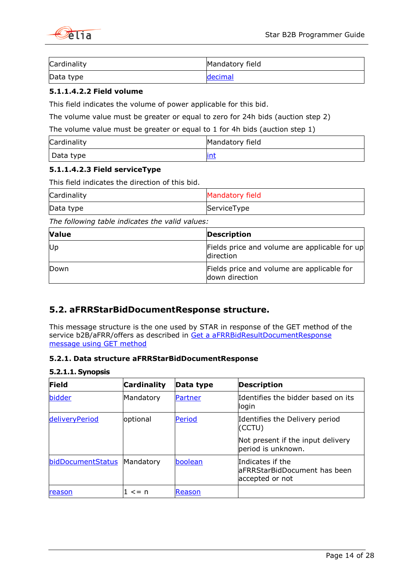

| Cardinality | Mandatory field |
|-------------|-----------------|
| Data type   | decimal         |

# <span id="page-13-3"></span>**5.1.1.4.2.2 Field volume**

This field indicates the volume of power applicable for this bid.

The volume value must be greater or equal to zero for 24h bids (auction step 2)

The volume value must be greater or equal to 1 for 4h bids (auction step 1)

| Cardinality | Mandatory field |
|-------------|-----------------|
| Data type   | <u>int</u>      |

# <span id="page-13-2"></span>**5.1.1.4.2.3 Field serviceType**

This field indicates the direction of this bid.

| Cardinality | Mandatory field |
|-------------|-----------------|
| Data type   | ServiceType     |

*The following table indicates the valid values:*

| <b>Value</b> | <b>Description</b>                                           |
|--------------|--------------------------------------------------------------|
| Up           | Fields price and volume are applicable for up<br>direction   |
| Down         | Fields price and volume are applicable for<br>down direction |

# <span id="page-13-0"></span>**5.2. aFRRStarBidDocumentResponse structure.**

This message structure is the one used by STAR in response of the GET method of the service b2B/aFRR/offers as described in Get a aFRRBidResultDocumentResponse [message using GET method](#page-8-0)

# <span id="page-13-1"></span>**5.2.1. Data structure aFRRStarBidDocumentResponse**

### **5.2.1.1. Synopsis**

| <b>Field</b>      | <b>Cardinality</b> | Data type | <b>Description</b>                                                   |
|-------------------|--------------------|-----------|----------------------------------------------------------------------|
| bidder            | Mandatory          | Partner   | Identifies the bidder based on its<br>llogin                         |
| deliveryPeriod    | optional           | Period    | Identifies the Delivery period<br>(CCTU)                             |
|                   |                    |           | Not present if the input delivery<br>period is unknown.              |
| bidDocumentStatus | <b>Mandatory</b>   | boolean   | Indicates if the<br>laFRRStarBidDocument has been<br>accepted or not |
| reason            | $\leq$ = n         | Reason    |                                                                      |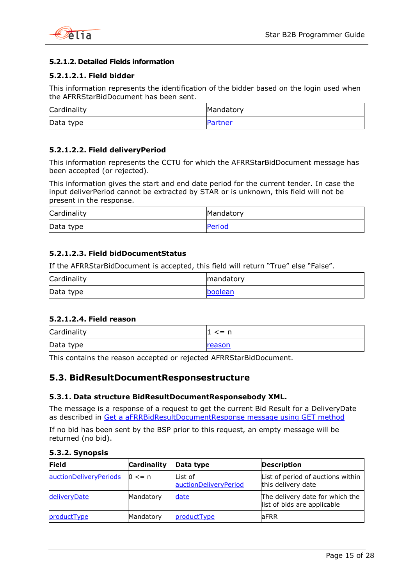



# **5.2.1.2. Detailed Fields information**

# **5.2.1.2.1. Field bidder**

This information represents the identification of the bidder based on the login used when the AFRRStarBidDocument has been sent.

| Cardinality | Mandatory |
|-------------|-----------|
| Data type   | Partner   |

# **5.2.1.2.2. Field deliveryPeriod**

This information represents the CCTU for which the AFRRStarBidDocument message has been accepted (or rejected).

This information gives the start and end date period for the current tender. In case the input deliverPeriod cannot be extracted by STAR or is unknown, this field will not be present in the response.

| Cardinality | Mandatory |
|-------------|-----------|
| Data type   | Period    |

# **5.2.1.2.3. Field bidDocumentStatus**

If the AFRRStarBidDocument is accepted, this field will return "True" else "False".

| Cardinality | mandatory |
|-------------|-----------|
| Data type   | boolean   |

### <span id="page-14-3"></span>**5.2.1.2.4. Field reason**

| Cardinality | $\leq$ = n |
|-------------|------------|
| Data type   | reason     |

This contains the reason accepted or rejected AFRRStarBidDocument.

# <span id="page-14-0"></span>**5.3. BidResultDocumentResponsestructure**

### <span id="page-14-1"></span>**5.3.1. Data structure BidResultDocumentResponsebody XML.**

The message is a response of a request to get the current Bid Result for a DeliveryDate as described in [Get a aFRRBidResultDocumentResponse message using GET method](#page-8-0)

If no bid has been sent by the BSP prior to this request, an empty message will be returned (no bid).

<span id="page-14-2"></span>

|  |  | 5.3.2. Synopsis |  |
|--|--|-----------------|--|
|--|--|-----------------|--|

| Field                  | <b>Cardinality</b> | Data type                        | <b>Description</b>                                             |
|------------------------|--------------------|----------------------------------|----------------------------------------------------------------|
| auctionDeliveryPeriods | $0 \leq n$         | List of<br>auctionDeliveryPeriod | List of period of auctions within<br>this delivery date        |
| deliveryDate           | Mandatory          | date                             | The delivery date for which the<br>list of bids are applicable |
| productType            | Mandatory          | productType                      | aFRR                                                           |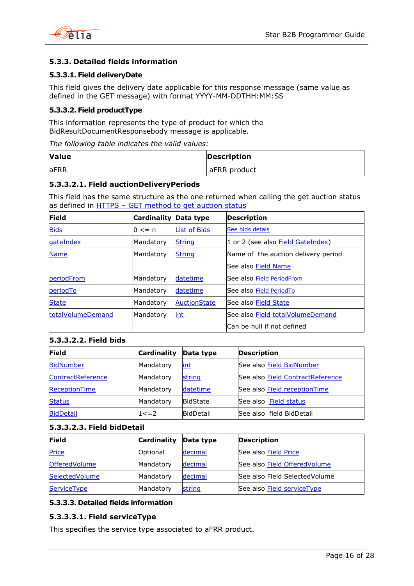

# <span id="page-15-0"></span>**5.3.3. Detailed fields information**

# **5.3.3.1. Field deliveryDate**

This field gives the delivery date applicable for this response message (same value as defined in the GET message) with format YYYY-MM-DDTHH:MM:SS

# <span id="page-15-3"></span>**5.3.3.2. Field productType**

This information represents the type of product for which the BidResultDocumentResponsebody message is applicable.

*The following table indicates the valid values:*

| <b>Value</b> | <b>Description</b> |
|--------------|--------------------|
| <b>aFRR</b>  | aFRR product       |

# <span id="page-15-2"></span>**5.3.3.2.1. Field auctionDeliveryPeriods**

This field has the same structure as the one returned when calling the get auction status as defined in HTTPS – [GET method to get auction status](#page-5-5)

| Field             | <b>Cardinality</b> | Data type           | <b>Description</b>                      |
|-------------------|--------------------|---------------------|-----------------------------------------|
| <b>Bids</b>       | $0 \leq n$         | <b>List of Bids</b> | See bids detais                         |
| gateIndex         | Mandatory          | <b>String</b>       | 1 or 2 (see also Field GateIndex)       |
| <b>Name</b>       | Mandatory          | <b>String</b>       | Name of the auction delivery period     |
|                   |                    |                     | See also <b>Field Name</b>              |
| periodFrom        | Mandatory          | datetime            | See also Field PeriodFrom               |
| periodTo          | Mandatory          | datetime            | See also Field PeriodTo                 |
| <b>State</b>      | Mandatory          | <b>AuctionState</b> | See also Field State                    |
| totalVolumeDemand | Mandatory          | int                 | See also <b>Field totalVolumeDemand</b> |
|                   |                    |                     | Can be null if not defined              |

### <span id="page-15-4"></span>**5.3.3.2.2. Field bids**

| Field             | <b>Cardinality</b> | Data type        | <b>Description</b>                      |
|-------------------|--------------------|------------------|-----------------------------------------|
| <b>BidNumber</b>  | Mandatory          | <u>int</u>       | See also Field BidNumber                |
| ContractReference | Mandatory          | string           | See also <b>Field ContractReference</b> |
| ReceptionTime     | Mandatory          | datetime         | See also Field reception Time           |
| <b>Status</b>     | Mandatory          | <b>BidState</b>  | See also Field status                   |
| <b>BidDetail</b>  | $1 < = 2$          | <b>BidDetail</b> | See also field BidDetail                |

### <span id="page-15-1"></span>**5.3.3.2.3. Field bidDetail**

| <b>Field</b>         | <b>Cardinality</b> | Data type | <b>Description</b>             |
|----------------------|--------------------|-----------|--------------------------------|
| <b>Price</b>         | <b>Optional</b>    | decimal   | See also Field Price           |
| <b>OfferedVolume</b> | Mandatory          | decimal   | See also Field Offered Volume  |
| SelectedVolume       | Mandatory          | decimal   | See also Field Selected Volume |
| <b>ServiceType</b>   | Mandatory          | string    | See also Field serviceType     |

# **5.3.3.3. Detailed fields information**

# <span id="page-15-5"></span>**5.3.3.3.1. Field serviceType**

This specifies the service type associated to aFRR product.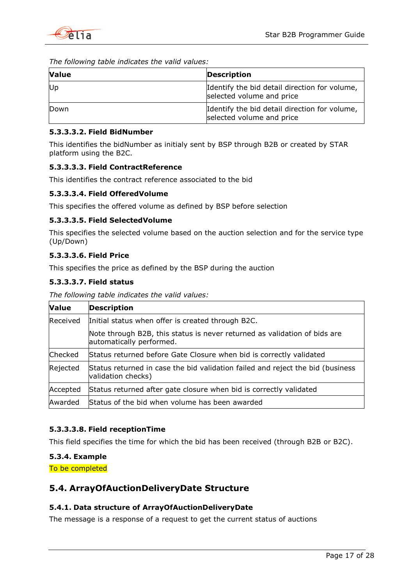

*The following table indicates the valid values:*

| <b>Value</b> | <b>Description</b>                                                         |
|--------------|----------------------------------------------------------------------------|
| Up           | Identify the bid detail direction for volume,<br>selected volume and price |
| Down         | Identify the bid detail direction for volume,<br>selected volume and price |

# <span id="page-16-3"></span>**5.3.3.3.2. Field BidNumber**

This identifies the bidNumber as initialy sent by BSP through B2B or created by STAR platform using the B2C.

# <span id="page-16-4"></span>**5.3.3.3.3. Field ContractReference**

This identifies the contract reference associated to the bid

# <span id="page-16-8"></span>**5.3.3.3.4. Field OfferedVolume**

This specifies the offered volume as defined by BSP before selection

### **5.3.3.3.5. Field SelectedVolume**

This specifies the selected volume based on the auction selection and for the service type (Up/Down)

# <span id="page-16-7"></span>**5.3.3.3.6. Field Price**

This specifies the price as defined by the BSP during the auction

# <span id="page-16-6"></span>**5.3.3.3.7. Field status**

*The following table indicates the valid values:*

| <b>Value</b> | <b>Description</b>                                                                                    |  |
|--------------|-------------------------------------------------------------------------------------------------------|--|
| Received     | Initial status when offer is created through B2C.                                                     |  |
|              | Note through B2B, this status is never returned as validation of bids are<br>automatically performed. |  |
| Checked      | Status returned before Gate Closure when bid is correctly validated                                   |  |
| Rejected     | Status returned in case the bid validation failed and reject the bid (business<br>validation checks)  |  |
| Accepted     | Status returned after gate closure when bid is correctly validated                                    |  |
| Awarded      | Status of the bid when volume has been awarded                                                        |  |

# <span id="page-16-5"></span>**5.3.3.3.8. Field receptionTime**

This field specifies the time for which the bid has been received (through B2B or B2C).

# <span id="page-16-0"></span>**5.3.4. Example**

<span id="page-16-1"></span>To be completed

# **5.4. ArrayOfAuctionDeliveryDate Structure**

# <span id="page-16-2"></span>**5.4.1. Data structure of ArrayOfAuctionDeliveryDate**

The message is a response of a request to get the current status of auctions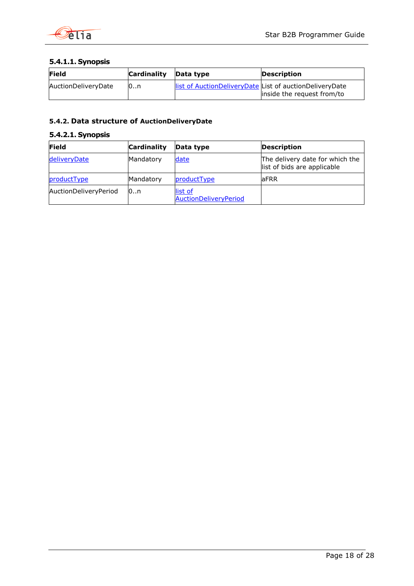

# **5.4.1.1. Synopsis**

| <b>Field</b>        | <b>Cardinality</b> | Data type | <b>Description</b>                                                                     |
|---------------------|--------------------|-----------|----------------------------------------------------------------------------------------|
| AuctionDeliveryDate | 0.n                |           | list of AuctionDeliveryDate List of auctionDeliveryDate<br>linside the request from/to |

# <span id="page-17-0"></span>**5.4.2. Data structure of AuctionDeliveryDate**

# **5.4.2.1. Synopsis**

| <b>Field</b>          | <b>Cardinality</b> | Data type                        | <b>Description</b>                                             |
|-----------------------|--------------------|----------------------------------|----------------------------------------------------------------|
| deliveryDate          | Mandatory          | date                             | The delivery date for which the<br>list of bids are applicable |
| productType           | Mandatory          | productType                      | laFRR                                                          |
| AuctionDeliveryPeriod | 10…n               | list of<br>AuctionDeliveryPeriod |                                                                |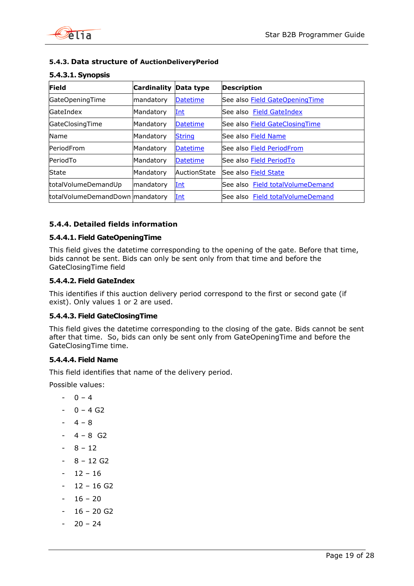

# <span id="page-18-0"></span>**5.4.3. Data structure of AuctionDeliveryPeriod**

| <b>Field</b>                    | <b>Cardinality</b> | Data type       | <b>Description</b>                    |
|---------------------------------|--------------------|-----------------|---------------------------------------|
| GateOpeningTime                 | mandatory          | <b>Datetime</b> | See also <b>Field GateOpeningTime</b> |
| GateIndex                       | Mandatory          | <u>Int</u>      | See also Field GateIndex              |
| GateClosingTime                 | Mandatory          | <b>Datetime</b> | See also <b>Field GateClosingTime</b> |
| Name                            | Mandatory          | <b>String</b>   | See also Field Name                   |
| PeriodFrom                      | Mandatory          | <b>Datetime</b> | See also Field PeriodFrom             |
| PeriodTo                        | Mandatory          | <b>Datetime</b> | See also Field PeriodTo               |
| <b>State</b>                    | Mandatory          | AuctionState    | See also <b>Field State</b>           |
| totalVolumeDemandUp             | mandatory          | Int             | See also Field totalVolumeDemand      |
| totalVolumeDemandDown mandatory |                    | <u>Int</u>      | See also Field totalVolumeDemand      |

# **5.4.3.1. Synopsis**

# <span id="page-18-1"></span>**5.4.4. Detailed fields information**

# <span id="page-18-4"></span>**5.4.4.1. Field GateOpeningTime**

This field gives the datetime corresponding to the opening of the gate. Before that time, bids cannot be sent. Bids can only be sent only from that time and before the GateClosingTime field

# <span id="page-18-2"></span>**5.4.4.2. Field GateIndex**

This identifies if this auction delivery period correspond to the first or second gate (if exist). Only values 1 or 2 are used.

### <span id="page-18-5"></span>**5.4.4.3. Field GateClosingTime**

This field gives the datetime corresponding to the closing of the gate. Bids cannot be sent after that time. So, bids can only be sent only from GateOpeningTime and before the GateClosingTime time.

# <span id="page-18-3"></span>**5.4.4.4. Field Name**

This field identifies that name of the delivery period.

Possible values:

- $0 4$
- $0 4 G2$
- $4 8$
- $4 8$  G2
- $-8 12$
- $8 12$  G2
- $12 16$
- $12 16$  G2
- $16 20$
- $16 20 G2$
- $20 24$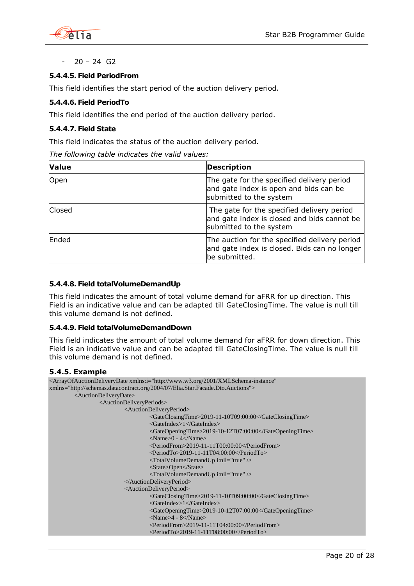

 $20 - 24$  G<sub>2</sub>

# <span id="page-19-1"></span>**5.4.4.5. Field PeriodFrom**

This field identifies the start period of the auction delivery period.

# <span id="page-19-2"></span>**5.4.4.6. Field PeriodTo**

This field identifies the end period of the auction delivery period.

# <span id="page-19-3"></span>**5.4.4.7. Field State**

This field indicates the status of the auction delivery period.

*The following table indicates the valid values:*

| <b>Value</b> | <b>Description</b>                                                                                                   |
|--------------|----------------------------------------------------------------------------------------------------------------------|
| Open         | The gate for the specified delivery period<br>and gate index is open and bids can be<br>submitted to the system      |
| Closed       | The gate for the specified delivery period<br>and gate index is closed and bids cannot be<br>submitted to the system |
| Ended        | The auction for the specified delivery period<br>and gate index is closed. Bids can no longer<br>be submitted.       |

### <span id="page-19-4"></span>**5.4.4.8. Field totalVolumeDemandUp**

This field indicates the amount of total volume demand for aFRR for up direction. This Field is an indicative value and can be adapted till GateClosingTime. The value is null till this volume demand is not defined.

### **5.4.4.9. Field totalVolumeDemandDown**

This field indicates the amount of total volume demand for aFRR for down direction. This Field is an indicative value and can be adapted till GateClosingTime. The value is null till this volume demand is not defined.

### <span id="page-19-0"></span>**5.4.5. Example**

| <arrayofauctiondeliverydate <="" th="" xmlns:i="http://www.w3.org/2001/XMLSchema-instance"></arrayofauctiondeliverydate> |
|--------------------------------------------------------------------------------------------------------------------------|
| xmlns="http://schemas.datacontract.org/2004/07/Elia.Star.Facade.Dto.Auctions">                                           |
| <auctiondeliverydate></auctiondeliverydate>                                                                              |
| <auctiondeliveryperiods></auctiondeliveryperiods>                                                                        |
| <auctiondeliveryperiod></auctiondeliveryperiod>                                                                          |
| <gateclosingtime>2019-11-10T09:00:00</gateclosingtime>                                                                   |
| $\langle$ GateIndex> $1\langle$ GateIndex>                                                                               |
| <gateopeningtime>2019-10-12T07:00:00</gateopeningtime>                                                                   |
| $<$ Name $>0$ - 4 $<$ /Name $>$                                                                                          |
| $\langle\text{PeriodFrom}\rangle$ 2019-11-11T00:00:00 $\langle\text{PeriodFrom}\rangle$                                  |
| $\le$ PeriodTo>2019-11-11T04:00:00 $\le$ /PeriodTo>                                                                      |
| $\langle$ TotalVolumeDemandUp i:nil="true" $\rangle$                                                                     |
| <state>Open</state>                                                                                                      |
| <totalvolumedemandup i:nil="true"></totalvolumedemandup>                                                                 |
|                                                                                                                          |
| <auctiondeliveryperiod></auctiondeliveryperiod>                                                                          |
| <gateclosingtime>2019-11-10T09:00:00</gateclosingtime>                                                                   |
| $\langle$ GateIndex> $\frac{1}{\langle}$ GateIndex>                                                                      |
| <gateopeningtime>2019-10-12T07:00:00</gateopeningtime>                                                                   |
| $<$ Name $>4$ - 8 $<$ /Name $>$                                                                                          |
| <periodfrom>2019-11-11T04:00:00</periodfrom>                                                                             |
| $\le$ PeriodTo>2019-11-11T08:00:00 $\le$ /PeriodTo>                                                                      |
|                                                                                                                          |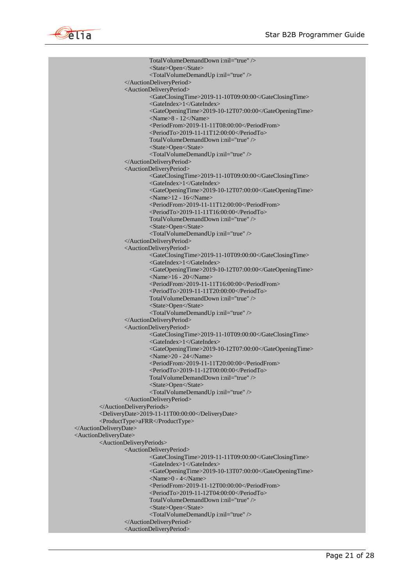

TotalVolumeDemandDown i:nil="true" /> <State>Open</State> <TotalVolumeDemandUp i:nil="true" /> </AuctionDeliveryPeriod> <AuctionDeliveryPeriod> <GateClosingTime>2019-11-10T09:00:00</GateClosingTime> <GateIndex>1</GateIndex> <GateOpeningTime>2019-10-12T07:00:00</GateOpeningTime> <Name>8 - 12</Name> <PeriodFrom>2019-11-11T08:00:00</PeriodFrom> <PeriodTo>2019-11-11T12:00:00</PeriodTo> TotalVolumeDemandDown i:nil="true" /> <State>Open</State> <TotalVolumeDemandUp i:nil="true" /> </AuctionDeliveryPeriod> <AuctionDeliveryPeriod> <GateClosingTime>2019-11-10T09:00:00</GateClosingTime> <GateIndex>1</GateIndex> <GateOpeningTime>2019-10-12T07:00:00</GateOpeningTime> <Name>12 - 16</Name> <PeriodFrom>2019-11-11T12:00:00</PeriodFrom> <PeriodTo>2019-11-11T16:00:00</PeriodTo> TotalVolumeDemandDown i:nil="true" /> <State>Open</State> <TotalVolumeDemandUp i:nil="true" /> </AuctionDeliveryPeriod> <AuctionDeliveryPeriod> <GateClosingTime>2019-11-10T09:00:00</GateClosingTime> <GateIndex>1</GateIndex> <GateOpeningTime>2019-10-12T07:00:00</GateOpeningTime> <Name>16 - 20</Name> <PeriodFrom>2019-11-11T16:00:00</PeriodFrom> <PeriodTo>2019-11-11T20:00:00</PeriodTo> TotalVolumeDemandDown i:nil="true" /> <State>Open</State> <TotalVolumeDemandUp i:nil="true" /> </AuctionDeliveryPeriod> <AuctionDeliveryPeriod> <GateClosingTime>2019-11-10T09:00:00</GateClosingTime> <GateIndex>1</GateIndex> <GateOpeningTime>2019-10-12T07:00:00</GateOpeningTime> <Name>20 - 24</Name> <PeriodFrom>2019-11-11T20:00:00</PeriodFrom> <PeriodTo>2019-11-12T00:00:00</PeriodTo> TotalVolumeDemandDown i:nil="true" /> <State>Open</State> <TotalVolumeDemandUp i:nil="true" /> </AuctionDeliveryPeriod> </AuctionDeliveryPeriods> <DeliveryDate>2019-11-11T00:00:00</DeliveryDate> <ProductType>aFRR</ProductType> </AuctionDeliveryDate> <AuctionDeliveryDate> <AuctionDeliveryPeriods> <AuctionDeliveryPeriod> <GateClosingTime>2019-11-11T09:00:00</GateClosingTime> <GateIndex>1</GateIndex> <GateOpeningTime>2019-10-13T07:00:00</GateOpeningTime>  $\langle$ Name $>0$  - 4 $\langle$ Name $>$ <PeriodFrom>2019-11-12T00:00:00</PeriodFrom> <PeriodTo>2019-11-12T04:00:00</PeriodTo> TotalVolumeDemandDown i:nil="true" /> <State>Open</State> <TotalVolumeDemandUp i:nil="true" /> </AuctionDeliveryPeriod> <AuctionDeliveryPeriod>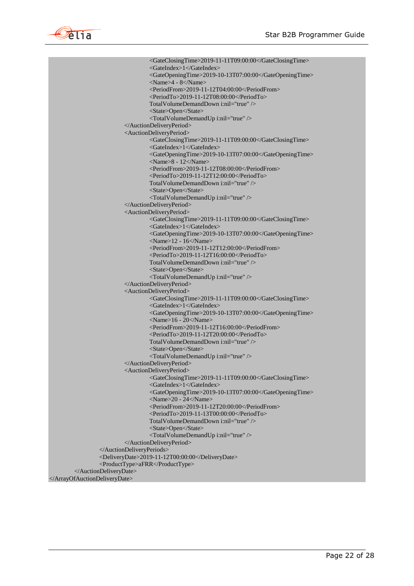

<GateClosingTime>2019-11-11T09:00:00</GateClosingTime> <GateIndex>1</GateIndex> <GateOpeningTime>2019-10-13T07:00:00</GateOpeningTime> <Name>4 - 8</Name> <PeriodFrom>2019-11-12T04:00:00</PeriodFrom> <PeriodTo>2019-11-12T08:00:00</PeriodTo> TotalVolumeDemandDown i:nil="true" /> <State>Open</State> <TotalVolumeDemandUp i:nil="true" /> </AuctionDeliveryPeriod> <AuctionDeliveryPeriod> <GateClosingTime>2019-11-11T09:00:00</GateClosingTime> <GateIndex>1</GateIndex> <GateOpeningTime>2019-10-13T07:00:00</GateOpeningTime> <Name>8 - 12</Name> <PeriodFrom>2019-11-12T08:00:00</PeriodFrom> <PeriodTo>2019-11-12T12:00:00</PeriodTo> TotalVolumeDemandDown i:nil="true" /> <State>Open</State> <TotalVolumeDemandUp i:nil="true" /> </AuctionDeliveryPeriod> <AuctionDeliveryPeriod> <GateClosingTime>2019-11-11T09:00:00</GateClosingTime> <GateIndex>1</GateIndex> <GateOpeningTime>2019-10-13T07:00:00</GateOpeningTime>  $\le$ Name $>$ 12 - 16 $\le$ Name $>$ <PeriodFrom>2019-11-12T12:00:00</PeriodFrom> <PeriodTo>2019-11-12T16:00:00</PeriodTo> TotalVolumeDemandDown i:nil="true" /> <State>Open</State> <TotalVolumeDemandUp i:nil="true" /> </AuctionDeliveryPeriod> <AuctionDeliveryPeriod> <GateClosingTime>2019-11-11T09:00:00</GateClosingTime> <GateIndex>1</GateIndex> <GateOpeningTime>2019-10-13T07:00:00</GateOpeningTime> <Name>16 - 20</Name> <PeriodFrom>2019-11-12T16:00:00</PeriodFrom> <PeriodTo>2019-11-12T20:00:00</PeriodTo> TotalVolumeDemandDown i:nil="true" /> <State>Open</State> <TotalVolumeDemandUp i:nil="true" /> </AuctionDeliveryPeriod> <AuctionDeliveryPeriod> <GateClosingTime>2019-11-11T09:00:00</GateClosingTime> <GateIndex>1</GateIndex> <GateOpeningTime>2019-10-13T07:00:00</GateOpeningTime> <Name>20 - 24</Name> <PeriodFrom>2019-11-12T20:00:00</PeriodFrom> <PeriodTo>2019-11-13T00:00:00</PeriodTo> TotalVolumeDemandDown i:nil="true" /> <State>Open</State> <TotalVolumeDemandUp i:nil="true" /> </AuctionDeliveryPeriod> </AuctionDeliveryPeriods> <DeliveryDate>2019-11-12T00:00:00</DeliveryDate> <ProductType>aFRR</ProductType> </AuctionDeliveryDate>

</ArrayOfAuctionDeliveryDate>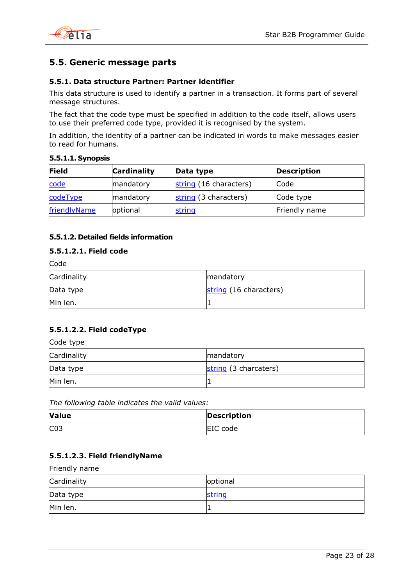

# <span id="page-22-0"></span>**5.5. Generic message parts**

# <span id="page-22-1"></span>**5.5.1. Data structure Partner: Partner identifier**

This data structure is used to identify a partner in a transaction. It forms part of several message structures.

The fact that the code type must be specified in addition to the code itself, allows users to use their preferred code type, provided it is recognised by the system.

In addition, the identity of a partner can be indicated in words to make messages easier to read for humans.

# **5.5.1.1. Synopsis**

| Field        | <b>Cardinality</b> | Data type              | <b>Description</b> |
|--------------|--------------------|------------------------|--------------------|
| code         | mandatory          | string (16 characters) | lCode              |
| codeType     | mandatory          | string (3 characters)  | Code type          |
| friendlyName | optional           | string                 | Friendly name      |

# **5.5.1.2. Detailed fields information**

# **5.5.1.2.1. Field code**

<span id="page-22-2"></span>

| Cardinality | mandatory              |
|-------------|------------------------|
| Data type   | string (16 characters) |
| Min len.    |                        |

# **5.5.1.2.2. Field codeType**

<span id="page-22-3"></span>Code type

| Cardinality | mandatory             |
|-------------|-----------------------|
| Data type   | string (3 charcaters) |
| Min len.    |                       |

*The following table indicates the valid values:*

| <b>Value</b>    | <b>Description</b> |
|-----------------|--------------------|
| CO <sub>3</sub> | EIC code           |

# **5.5.1.2.3. Field friendlyName**

<span id="page-22-4"></span>Friendly name

| Cardinality | optional |
|-------------|----------|
| Data type   | string   |
| Min len.    |          |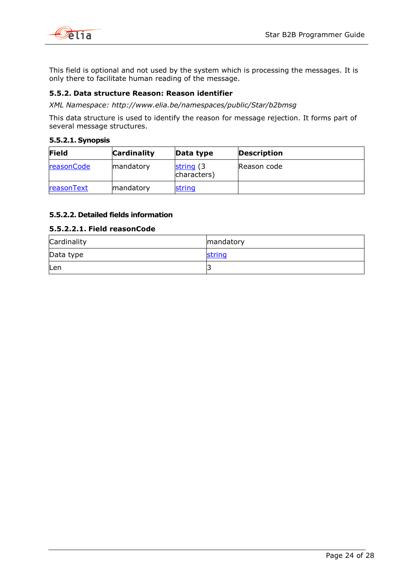

This field is optional and not used by the system which is processing the messages. It is only there to facilitate human reading of the message.

# <span id="page-23-0"></span>**5.5.2. Data structure Reason: Reason identifier**

*XML Namespace: http://www.elia.be/namespaces/public/Star/b2bmsg*

This data structure is used to identify the reason for message rejection. It forms part of several message structures.

#### **5.5.2.1. Synopsis**

| Field      | <b>Cardinality</b> | Data type                 | <b>Description</b> |
|------------|--------------------|---------------------------|--------------------|
| reasonCode | mandatory          | string (3)<br>characters) | Reason code        |
| reasonText | mandatory          | string                    |                    |

# **5.5.2.2. Detailed fields information**

### <span id="page-23-1"></span>**5.5.2.2.1. Field reasonCode**

| Cardinality | mandatory |
|-------------|-----------|
| Data type   | string    |
| Len         |           |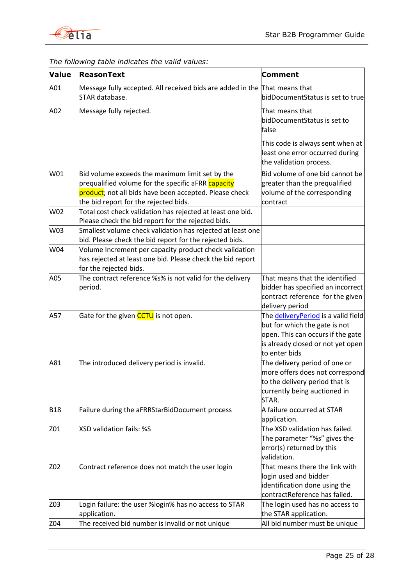

| <b>Value</b> | <b>ReasonText</b>                                                                                                                                                                                        | Comment                                                                                                                                                          |
|--------------|----------------------------------------------------------------------------------------------------------------------------------------------------------------------------------------------------------|------------------------------------------------------------------------------------------------------------------------------------------------------------------|
| A01          | Message fully accepted. All received bids are added in the That means that<br>STAR database.                                                                                                             | bidDocumentStatus is set to true                                                                                                                                 |
| A02          | Message fully rejected.                                                                                                                                                                                  | That means that<br>bidDocumentStatus is set to<br>false                                                                                                          |
|              |                                                                                                                                                                                                          | This code is always sent when at<br>least one error occurred during<br>the validation process.                                                                   |
| W01          | Bid volume exceeds the maximum limit set by the<br>prequalified volume for the specific aFRR capacity<br>product; not all bids have been accepted. Please check<br>the bid report for the rejected bids. | Bid volume of one bid cannot be<br>greater than the prequalified<br>volume of the corresponding<br>contract                                                      |
| W02          | Total cost check validation has rejected at least one bid.<br>Please check the bid report for the rejected bids.                                                                                         |                                                                                                                                                                  |
| W03          | Smallest volume check validation has rejected at least one<br>bid. Please check the bid report for the rejected bids.                                                                                    |                                                                                                                                                                  |
| W04          | Volume Increment per capacity product check validation<br>has rejected at least one bid. Please check the bid report<br>for the rejected bids.                                                           |                                                                                                                                                                  |
| A05          | The contract reference %s% is not valid for the delivery<br>period.                                                                                                                                      | That means that the identified<br>bidder has specified an incorrect<br>contract reference for the given<br>delivery period                                       |
| A57          | Gate for the given <b>CCTU</b> is not open.                                                                                                                                                              | The delivery Period is a valid field<br>but for which the gate is not<br>open. This can occurs if the gate<br>is already closed or not yet open<br>to enter bids |
| A81          | The introduced delivery period is invalid.                                                                                                                                                               | The delivery period of one or<br>more offers does not correspond<br>to the delivery period that is<br>currently being auctioned in<br>STAR.                      |
| <b>B18</b>   | Failure during the aFRRStarBidDocument process                                                                                                                                                           | A failure occurred at STAR<br>application.                                                                                                                       |
| Z01          | XSD validation fails: %S                                                                                                                                                                                 | The XSD validation has failed.<br>The parameter "%s" gives the<br>error(s) returned by this<br>validation.                                                       |
| Z02          | Contract reference does not match the user login                                                                                                                                                         | That means there the link with<br>login used and bidder<br>identification done using the<br>contractReference has failed.                                        |
| Z03          | Login failure: the user %login% has no access to STAR<br>application.                                                                                                                                    | The login used has no access to<br>the STAR application.                                                                                                         |
| Z04          | The received bid number is invalid or not unique                                                                                                                                                         | All bid number must be unique                                                                                                                                    |

# *The following table indicates the valid values:*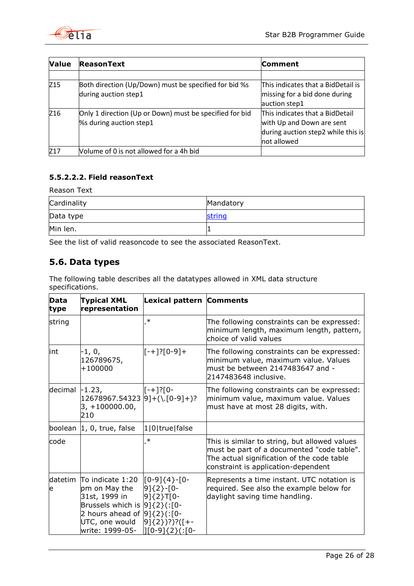

| Value           | <b>ReasonText</b>                                       | <b>Comment</b>                     |
|-----------------|---------------------------------------------------------|------------------------------------|
|                 |                                                         |                                    |
| Z <sub>15</sub> | Both direction (Up/Down) must be specified for bid %s   | This indicates that a BidDetail is |
|                 | during auction step1                                    | missing for a bid done during      |
|                 |                                                         | auction step1                      |
| Z16             | Only 1 direction (Up or Down) must be specified for bid | This indicates that a BidDetail    |
|                 | %s during auction step1                                 | with Up and Down are sent          |
|                 |                                                         | during auction step2 while this is |
|                 |                                                         | not allowed                        |
| Z17             | Volume of 0 is not allowed for a 4h bid                 |                                    |

# **5.5.2.2.2. Field reasonText**

Reason Text

| Cardinality | Mandatory |
|-------------|-----------|
| Data type   | string    |
| Min len.    |           |

See the list of valid reasoncode to see the associated ReasonText.

# <span id="page-25-0"></span>**5.6. Data types**

The following table describes all the datatypes allowed in XML data structure specifications.

<span id="page-25-5"></span><span id="page-25-4"></span><span id="page-25-3"></span><span id="page-25-2"></span><span id="page-25-1"></span>

| <b>Data</b><br>type | <b>Typical XML</b><br>representation                                                                                                                                  | Lexical pattern Comments                                                                                   |                                                                                                                                                                                  |
|---------------------|-----------------------------------------------------------------------------------------------------------------------------------------------------------------------|------------------------------------------------------------------------------------------------------------|----------------------------------------------------------------------------------------------------------------------------------------------------------------------------------|
| string              |                                                                                                                                                                       | $\ast$                                                                                                     | The following constraints can be expressed:<br>minimum length, maximum length, pattern,<br>choice of valid values                                                                |
| lint                | $-1, 0,$<br>126789675,<br>$+100000$                                                                                                                                   | $[-+][0-9]+$                                                                                               | The following constraints can be expressed:<br>minimum value, maximum value. Values<br>must be between 2147483647 and -<br>2147483648 inclusive.                                 |
| decimal             | $-1.23,$<br>$12678967.54323  9]+(\1.0-9]+)?$<br>$3, +100000.00,$<br>210                                                                                               | $[-+]$ ?[0-                                                                                                | The following constraints can be expressed:<br>minimum value, maximum value. Values<br>must have at most 28 digits, with.                                                        |
| boolean             | $ 1, 0,$ true, false                                                                                                                                                  | 1 0 true false                                                                                             |                                                                                                                                                                                  |
| code                |                                                                                                                                                                       | $\ast$                                                                                                     | This is similar to string, but allowed values<br>must be part of a documented "code table".<br>The actual signification of the code table<br>constraint is application-dependent |
| datetim<br>e        | To indicate 1:20<br>pm on May the<br>31st, 1999 in<br>Brussels which is $ 9]\{2\}$ (:[0-<br>2 hours ahead of $9$ ] $\{2\}$ (:[0-<br>UTC, one would<br>write: 1999-05- | $[0-9]\{4\}$ - $[0-$<br>$9$ $(2)$ - $[0-$<br>$9$ ]{2}T[0-<br>$9$ $(2)$ $?$ $($ $(-$<br>$[(0-9]\{2\}$ (:[0- | Represents a time instant. UTC notation is<br>required. See also the example below for<br>daylight saving time handling.                                                         |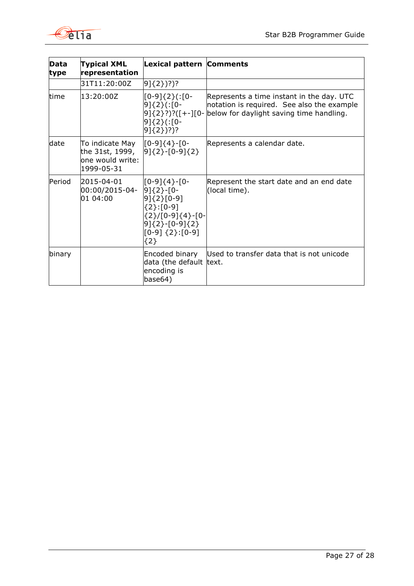

<span id="page-26-1"></span><span id="page-26-0"></span>

| Data<br>type | <b>Typical XML</b><br>representation                                 | Lexical pattern Comments                                                                                                      |                                                                                                                                                                         |
|--------------|----------------------------------------------------------------------|-------------------------------------------------------------------------------------------------------------------------------|-------------------------------------------------------------------------------------------------------------------------------------------------------------------------|
|              | 31T11:20:00Z                                                         | $9(2)$ ?)?)?                                                                                                                  |                                                                                                                                                                         |
| time         | 13:20:00Z                                                            | [0-9]{2}(:[0-<br>9]{2}(:[0-<br>91{2}(:[0-<br>$[9]\{2\})$ ?)?                                                                  | Represents a time instant in the day. UTC<br>notation is required. See also the example<br>$[9]{2}$ ?)?([+-][0- $\blacksquare$ below for daylight saving time handling. |
| date         | To indicate May<br>the 31st, 1999,<br>one would write:<br>1999-05-31 | $[0-9]\{4\}$ - $[0-$<br>$9$ {2} - [0-9] {2}                                                                                   | Represents a calendar date.                                                                                                                                             |
| Period       | 2015-04-01<br>$00:00/2015-04-9$ {2}-[0-<br>01 04:00                  | $[0-9]\{4\}$ -[0-<br>$9$ {2}[0-9]<br>{2}:[0-9]<br>{2}/[0-9]{4}-[0-<br>$9$ {2}-[0-9] {2}<br>$[0-9]$ $\{2\}$ : $[0-9]$<br>${2}$ | Represent the start date and an end date<br>(local time).                                                                                                               |
| binary       |                                                                      | Encoded binary<br>data (the default text.<br>encoding is<br>base64)                                                           | Used to transfer data that is not unicode                                                                                                                               |